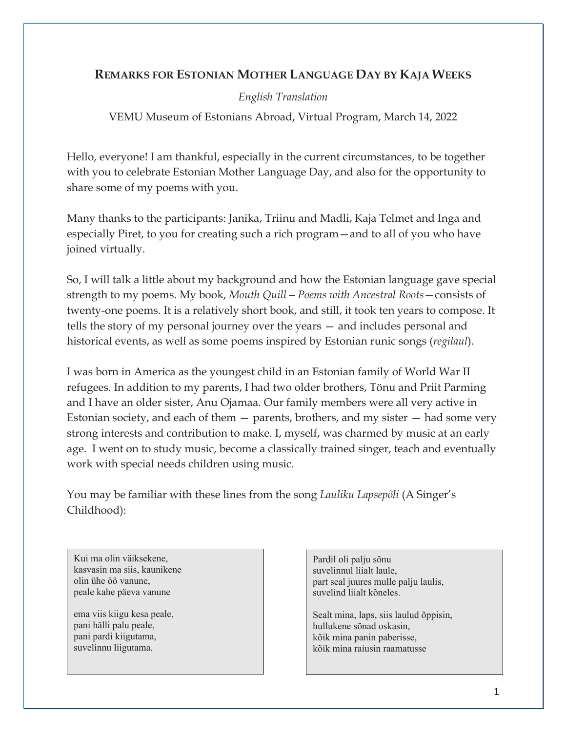# **REMARKS FOR ESTONIAN MOTHER LANGUAGE DAY BY KAJA WEEKS**

## *English Translation*

VEMU Museum of Estonians Abroad, Virtual Program, March 14, 2022

Hello, everyone! I am thankful, especially in the current circumstances, to be together with you to celebrate Estonian Mother Language Day, and also for the opportunity to share some of my poems with you.

Many thanks to the participants: Janika, Triinu and Madli, Kaja Telmet and Inga and especially Piret, to you for creating such a rich program—and to all of you who have joined virtually.

So, I will talk a little about my background and how the Estonian language gave special strength to my poems. My book, *Mouth Quill—Poems with Ancestral Roots*—consists of twenty-one poems. It is a relatively short book, and still, it took ten years to compose. It tells the story of my personal journey over the years — and includes personal and historical events, as well as some poems inspired by Estonian runic songs (*regilaul*).

I was born in America as the youngest child in an Estonian family of World War II refugees. In addition to my parents, I had two older brothers, Tönu and Priit Parming and I have an older sister, Anu Ojamaa. Our family members were all very active in Estonian society, and each of them  $-$  parents, brothers, and my sister  $-$  had some very strong interests and contribution to make. I, myself, was charmed by music at an early age. I went on to study music, become a classically trained singer, teach and eventually work with special needs children using music.

You may be familiar with these lines from the song *Lauliku Lapsepõli* (A Singer's Childhood):

Kui ma olin väiksekene, kasvasin ma siis, kaunikene olin ühe öö vanune, peale kahe päeva vanune

ema viis kiigu kesa peale, pani hälli palu peale, pani pardi kiigutama, suvelinnu liigutama.

Pardil oli palju sõnu suvelinnul liialt laule, part seal juures mulle palju laulis, suvelind liialt kõneles.

Sealt mina, laps, siis laulud õppisin, hullukene sõnad oskasin, kõik mina panin paberisse, kõik mina raiusin raamatusse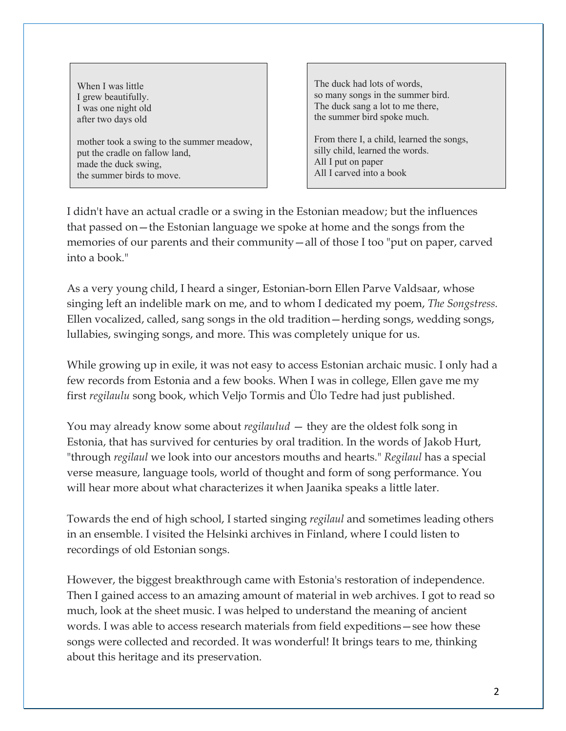When I was little I grew beautifully. I was one night old after two days old

mother took a swing to the summer meadow, put the cradle on fallow land, made the duck swing, the summer birds to move.

The duck had lots of words, so many songs in the summer bird. The duck sang a lot to me there, the summer bird spoke much.

From there I, a child, learned the songs, silly child, learned the words. All I put on paper All I carved into a book

I didn't have an actual cradle or a swing in the Estonian meadow; but the influences that passed on—the Estonian language we spoke at home and the songs from the memories of our parents and their community—all of those I too "put on paper, carved into a book."

As a very young child, I heard a singer, Estonian-born Ellen Parve Valdsaar, whose singing left an indelible mark on me, and to whom I dedicated my poem, *The Songstress.* Ellen vocalized, called, sang songs in the old tradition—herding songs, wedding songs, lullabies, swinging songs, and more. This was completely unique for us.

While growing up in exile, it was not easy to access Estonian archaic music. I only had a few records from Estonia and a few books. When I was in college, Ellen gave me my first *regilaulu* song book, which Veljo Tormis and Ülo Tedre had just published.

You may already know some about *regilaulud* — they are the oldest folk song in Estonia, that has survived for centuries by oral tradition. In the words of Jakob Hurt, "through *regilaul* we look into our ancestors mouths and hearts." *Regilaul* has a special verse measure, language tools, world of thought and form of song performance. You will hear more about what characterizes it when Jaanika speaks a little later.

Towards the end of high school, I started singing *regilaul* and sometimes leading others in an ensemble. I visited the Helsinki archives in Finland, where I could listen to recordings of old Estonian songs.

However, the biggest breakthrough came with Estonia's restoration of independence. Then I gained access to an amazing amount of material in web archives. I got to read so much, look at the sheet music. I was helped to understand the meaning of ancient words. I was able to access research materials from field expeditions—see how these songs were collected and recorded. It was wonderful! It brings tears to me, thinking about this heritage and its preservation.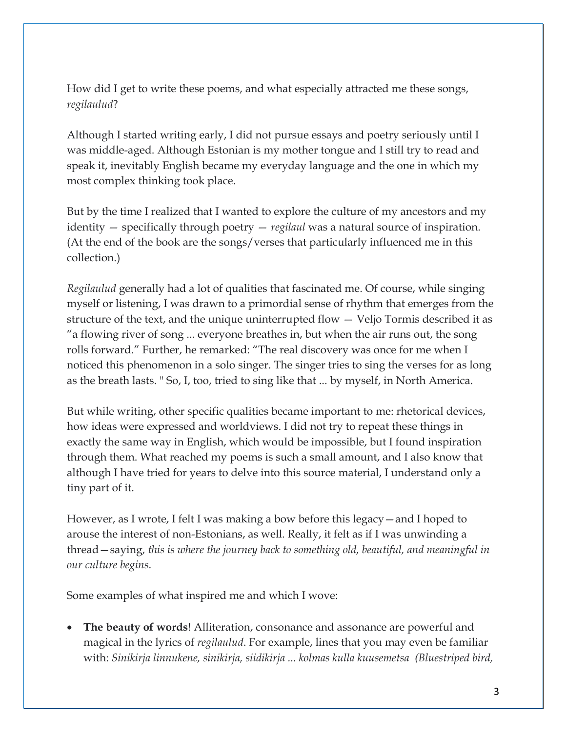How did I get to write these poems, and what especially attracted me these songs, *regilaulud*?

Although I started writing early, I did not pursue essays and poetry seriously until I was middle-aged. Although Estonian is my mother tongue and I still try to read and speak it, inevitably English became my everyday language and the one in which my most complex thinking took place.

But by the time I realized that I wanted to explore the culture of my ancestors and my identity — specifically through poetry — *regilaul* was a natural source of inspiration. (At the end of the book are the songs/verses that particularly influenced me in this collection.)

*Regilaulud* generally had a lot of qualities that fascinated me. Of course, while singing myself or listening, I was drawn to a primordial sense of rhythm that emerges from the structure of the text, and the unique uninterrupted flow — Veljo Tormis described it as "a flowing river of song ... everyone breathes in, but when the air runs out, the song rolls forward." Further, he remarked: "The real discovery was once for me when I noticed this phenomenon in a solo singer. The singer tries to sing the verses for as long as the breath lasts. " So, I, too, tried to sing like that ... by myself, in North America.

But while writing, other specific qualities became important to me: rhetorical devices, how ideas were expressed and worldviews. I did not try to repeat these things in exactly the same way in English, which would be impossible, but I found inspiration through them. What reached my poems is such a small amount, and I also know that although I have tried for years to delve into this source material, I understand only a tiny part of it.

However, as I wrote, I felt I was making a bow before this legacy—and I hoped to arouse the interest of non-Estonians, as well. Really, it felt as if I was unwinding a thread—saying, *this is where the journey back to something old, beautiful, and meaningful in our culture begins*.

Some examples of what inspired me and which I wove:

• **The beauty of words**! Alliteration, consonance and assonance are powerful and magical in the lyrics of *regilaulud*. For example, lines that you may even be familiar with: *Sinikirja linnukene, sinikirja, siidikirja ... kolmas kulla kuusemetsa (Bluestriped bird,*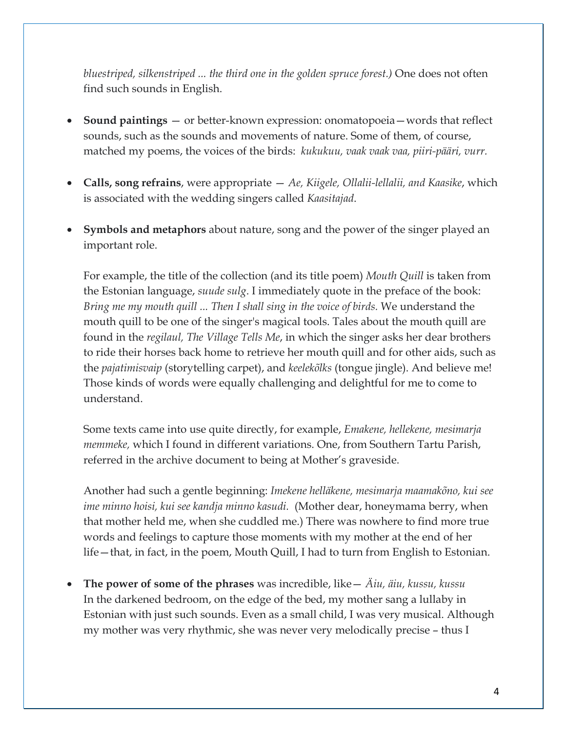*bluestriped, silkenstriped ... the third one in the golden spruce forest.)* One does not often find such sounds in English.

- **Sound paintings** or better-known expression: onomatopoeia—words that reflect sounds, such as the sounds and movements of nature. Some of them, of course, matched my poems, the voices of the birds: *kukukuu, vaak vaak vaa, piiri-pääri, vurr.*
- **Calls, song refrains**, were appropriate *Ae, Kiigele, Ollalii-lellalii, and Kaasike*, which is associated with the wedding singers called *Kaasitajad*.
- **Symbols and metaphors** about nature, song and the power of the singer played an important role.

For example, the title of the collection (and its title poem) *Mouth Quill* is taken from the Estonian language, *suude sulg*. I immediately quote in the preface of the book: *Bring me my mouth quill ... Then I shall sing in the voice of birds.* We understand the mouth quill to be one of the singer's magical tools. Tales about the mouth quill are found in the *regilaul, The Village Tells Me*, in which the singer asks her dear brothers to ride their horses back home to retrieve her mouth quill and for other aids, such as the *pajatimisvaip* (storytelling carpet), and *keelekõlks* (tongue jingle). And believe me! Those kinds of words were equally challenging and delightful for me to come to understand.

Some texts came into use quite directly, for example, *Emakene, hellekene, mesimarja memmeke,* which I found in different variations. One, from Southern Tartu Parish, referred in the archive document to being at Mother's graveside.

Another had such a gentle beginning: *Imekene helläkene, mesimarja maamakõno, kui see ime minno hoisi, kui see kandja minno kasudi.* (Mother dear, honeymama berry, when that mother held me, when she cuddled me.) There was nowhere to find more true words and feelings to capture those moments with my mother at the end of her life—that, in fact, in the poem, Mouth Quill, I had to turn from English to Estonian.

• **The power of some of the phrases** was incredible, like— *Äiu, äiu, kussu, kussu* In the darkened bedroom, on the edge of the bed, my mother sang a lullaby in Estonian with just such sounds. Even as a small child, I was very musical. Although my mother was very rhythmic, she was never very melodically precise – thus I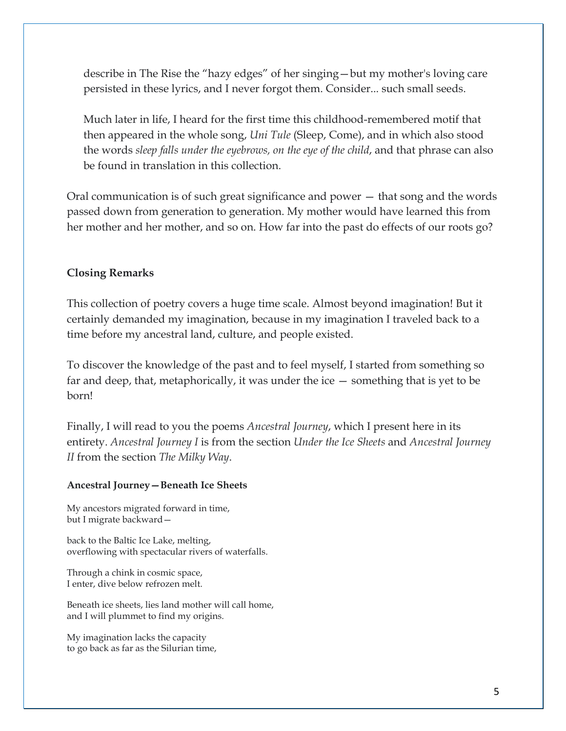describe in The Rise the "hazy edges" of her singing—but my mother's loving care persisted in these lyrics, and I never forgot them. Consider... such small seeds.

Much later in life, I heard for the first time this childhood-remembered motif that then appeared in the whole song, *Uni Tule* (Sleep, Come), and in which also stood the words *sleep falls under the eyebrows, on the eye of the child*, and that phrase can also be found in translation in this collection.

Oral communication is of such great significance and power — that song and the words passed down from generation to generation. My mother would have learned this from her mother and her mother, and so on. How far into the past do effects of our roots go?

### **Closing Remarks**

This collection of poetry covers a huge time scale. Almost beyond imagination! But it certainly demanded my imagination, because in my imagination I traveled back to a time before my ancestral land, culture, and people existed.

To discover the knowledge of the past and to feel myself, I started from something so far and deep, that, metaphorically, it was under the ice — something that is yet to be born!

Finally, I will read to you the poems *Ancestral Journey*, which I present here in its entirety. *Ancestral Journey I* is from the section *Under the Ice Sheets* and *Ancestral Journey II* from the section *The Milky Way*.

#### **Ancestral Journey—Beneath Ice Sheets**

My ancestors migrated forward in time, but I migrate backward—

back to the Baltic Ice Lake, melting, overflowing with spectacular rivers of waterfalls.

Through a chink in cosmic space, I enter, dive below refrozen melt.

Beneath ice sheets, lies land mother will call home, and I will plummet to find my origins.

My imagination lacks the capacity to go back as far as the Silurian time,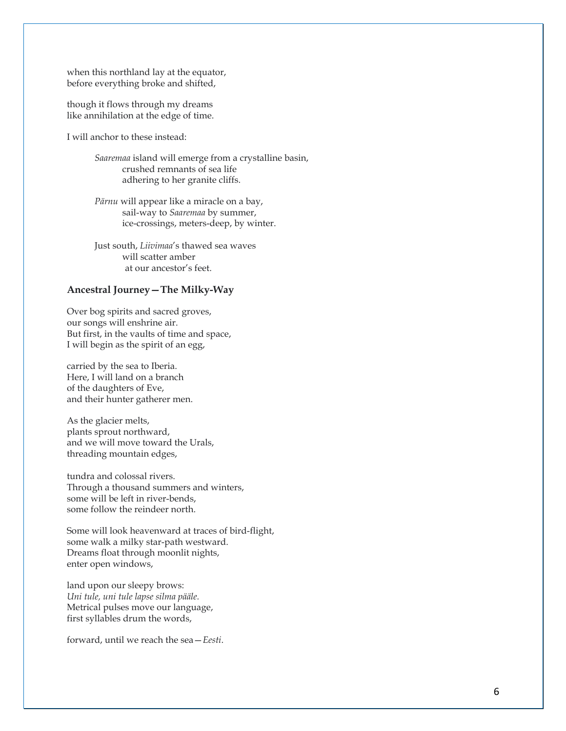when this northland lay at the equator, before everything broke and shifted,

though it flows through my dreams like annihilation at the edge of time.

I will anchor to these instead:

 *Saaremaa* island will emerge from a crystalline basin, crushed remnants of sea life adhering to her granite cliffs.

 *Pärnu* will appear like a miracle on a bay, sail-way to *Saaremaa* by summer, ice-crossings, meters-deep, by winter.

 Just south, *Liivimaa*'s thawed sea waves will scatter amber at our ancestor's feet.

#### **Ancestral Journey—The Milky-Way**

Over bog spirits and sacred groves, our songs will enshrine air. But first, in the vaults of time and space, I will begin as the spirit of an egg,

carried by the sea to Iberia. Here, I will land on a branch of the daughters of Eve, and their hunter gatherer men.

As the glacier melts, plants sprout northward, and we will move toward the Urals, threading mountain edges,

tundra and colossal rivers. Through a thousand summers and winters, some will be left in river-bends, some follow the reindeer north.

Some will look heavenward at traces of bird-flight, some walk a milky star-path westward. Dreams float through moonlit nights, enter open windows,

land upon our sleepy brows: *Uni tule, uni tule lapse silma pääle.* Metrical pulses move our language, first syllables drum the words,

forward, until we reach the sea—*Eesti*.